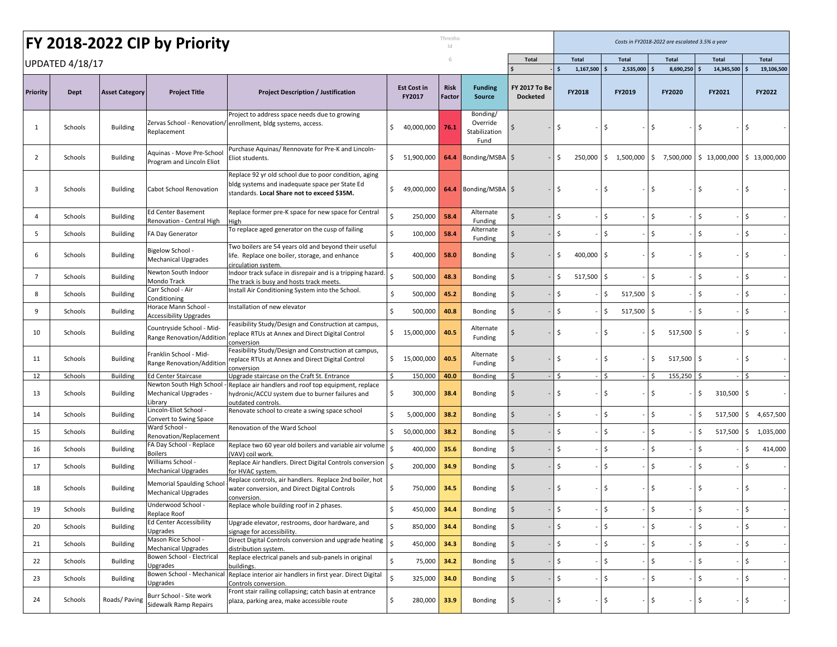|                 |                 |                       | FY 2018-2022 CIP by Priority                                   |                                                                                                                                                        |                    |                              | Thresho<br> c         |                                               |                                  |              | Costs in FY2018-2022 are escalated 3.5% a year |    |              |                    |             |              |                          |
|-----------------|-----------------|-----------------------|----------------------------------------------------------------|--------------------------------------------------------------------------------------------------------------------------------------------------------|--------------------|------------------------------|-----------------------|-----------------------------------------------|----------------------------------|--------------|------------------------------------------------|----|--------------|--------------------|-------------|--------------|--------------------------|
|                 | UPDATED 4/18/17 |                       |                                                                |                                                                                                                                                        |                    |                              |                       |                                               | <b>Total</b>                     |              | <b>Total</b>                                   |    | <b>Total</b> | <b>Total</b>       |             | <b>Total</b> | <b>Total</b>             |
|                 |                 |                       |                                                                |                                                                                                                                                        |                    |                              |                       |                                               |                                  |              | 1,167,500                                      |    | 2,535,000    | 8,690,250<br>Ś     |             | 14,345,500   | 19.106.500               |
| <b>Priority</b> | Dept            | <b>Asset Category</b> | <b>Project Title</b>                                           | <b>Project Description / Justification</b>                                                                                                             |                    | <b>Est Cost in</b><br>FY2017 | <b>Risk</b><br>Factor | <b>Funding</b><br><b>Source</b>               | FY 2017 To Be<br><b>Docketed</b> |              | FY2018                                         |    | FY2019       | FY2020             |             | FY2021       | FY2022                   |
| 1               | Schools         | <b>Building</b>       | Replacement                                                    | Project to address space needs due to growing<br>Zervas School - Renovation/ enrollment, bldg systems, access.                                         | \$                 | 40,000,000                   | 76.1                  | Bonding/<br>Override<br>Stabilization<br>Fund |                                  | S            |                                                | S  |              | Ś                  | Ŝ           |              |                          |
| 2               | Schools         | <b>Building</b>       | Aquinas - Move Pre-School<br>Program and Lincoln Eliot         | Purchase Aquinas/ Rennovate for Pre-K and Lincoln-<br>Eliot students.                                                                                  | S.                 | 51,900,000                   | 64.4                  | Bonding/MSBA   \$                             |                                  | Ś.           | 250,000                                        | S. | 1,500,000    | \$7,500,000        |             | \$13,000,000 | $\frac{1}{2}$ 13,000,000 |
| 3               | Schools         | <b>Building</b>       | Cabot School Renovation                                        | Replace 92 yr old school due to poor condition, aging<br>bldg systems and inadequate space per State Ed<br>standards. Local Share not to exceed \$35M. | \$                 | 49,000,000                   | 64.4                  | Bonding/MSBA   \$                             |                                  | Ś            |                                                | S  |              | \$                 | -S          |              | -S                       |
| 4               | Schools         | <b>Building</b>       | <b>Ed Center Basement</b><br>Renovation - Central High         | Replace former pre-K space for new space for Central<br>High                                                                                           | \$                 | 250,000                      | 58.4                  | Alternate<br>Funding                          |                                  | \$           |                                                | \$ |              | \$                 | \$          |              | $\ddot{\mathsf{S}}$      |
| 5               | Schools         | <b>Building</b>       | FA Day Generator                                               | To replace aged generator on the cusp of failing                                                                                                       | \$                 | 100,000                      | 58.4                  | Alternate<br>Funding                          |                                  | $\zeta$      |                                                | Ś. |              | \$                 | \$          |              | <sub>S</sub>             |
| 6               | Schools         | <b>Building</b>       | - Bigelow School<br><b>Mechanical Upgrades</b>                 | Two boilers are 54 years old and beyond their useful<br>life. Replace one boiler, storage, and enhance<br>circulation system.                          | \$                 | 400,000                      | 58.0                  | <b>Bonding</b>                                | Ś                                | Ś            | 400,000 \$                                     |    |              | \$                 | \$          |              | -\$                      |
| $\overline{7}$  | Schools         | <b>Building</b>       | Newton South Indoor<br>Mondo Track                             | Indoor track suface in disrepair and is a tripping hazard.<br>The track is busy and hosts track meets.                                                 | Ŝ.                 | 500,000                      | 48.3                  | <b>Bonding</b>                                | \$                               | Ś            | 517,500                                        | Ś  |              | Ś                  | $\zeta$     |              | \$                       |
| 8               | Schools         | <b>Building</b>       | Carr School - Air<br>Conditioning                              | Install Air Conditioning System into the School.                                                                                                       | -\$                | 500,000                      | 45.2                  | <b>Bonding</b>                                | $\mathsf{S}$                     | Ś            |                                                | \$ | 517,500      | \$                 | \$          |              | $\mathsf{\overline{S}}$  |
| 9               | Schools         | <b>Building</b>       | Horace Mann School -<br>Accessibility Upgrades                 | Installation of new elevator                                                                                                                           | \$                 | 500,000                      | 40.8                  | <b>Bonding</b>                                | $\zeta$                          | Ś            |                                                | \$ | 517,500      | \$                 | \$          |              | $\ddot{\mathsf{S}}$      |
| 10              | Schools         | <b>Building</b>       | Countryside School - Mid-<br>Range Renovation/Addition         | Feasibility Study/Design and Construction at campus,<br>replace RTUs at Annex and Direct Digital Control<br>conversion                                 | \$                 | 15,000,000                   | 40.5                  | Alternate<br>Funding                          |                                  | Ś            |                                                | \$ |              | \$<br>517,500      | \$.         |              | l\$                      |
| 11              | Schools         | <b>Building</b>       | Franklin School - Mid-<br>Range Renovation/Addition            | Feasibility Study/Design and Construction at campus,<br>replace RTUs at Annex and Direct Digital Control<br>conversion                                 | \$                 | 15,000,000                   | 40.5                  | Alternate<br>Funding                          |                                  | Ś            |                                                | \$ |              | \$<br>517,500      | -\$         |              | l\$                      |
| 12              | Schools         | <b>Building</b>       | <b>Ed Center Staircase</b>                                     | Upgrade staircase on the Craft St. Entrance                                                                                                            | Ŝ.                 | 150,000                      | 40.0                  | Bonding                                       |                                  | Ŝ.           |                                                | Ś  |              | 155,250<br>Ŝ.      |             |              | l \$                     |
| 13              | Schools         | <b>Building</b>       | Newton South High School<br>Mechanical Upgrades -<br>.ibrary   | Replace air handlers and roof top equipment, replace<br>hydronic/ACCU system due to burner failures and<br>outdated controls                           | \$.                | 300,000                      | 38.4                  | Bonding                                       | Ŝ.                               | Ś            |                                                | Ś  |              | \$                 | \$          | 310,500 \$   |                          |
| 14              | Schools         | <b>Building</b>       | - incoln-Eliot School.<br>Convert to Swing Space               | Renovate school to create a swing space school                                                                                                         | Ŝ                  | 5,000,000                    | 38.2                  | <b>Bonding</b>                                | \$                               | Ś            |                                                | Ś  |              | \$                 | \$          | 517,500      | 4,657,500<br>\$          |
| 15              | Schools         | <b>Building</b>       | Ward School -<br>Renovation/Replacement                        | Renovation of the Ward School                                                                                                                          | \$                 | 50,000,000                   | 38.2                  | <b>Bonding</b>                                | \$                               | \$           |                                                | \$ |              | \$                 | \$          | 517,500      | \$<br>1,035,000          |
| 16              | Schools         | <b>Building</b>       | FA Day School - Replace<br>Boilers                             | Replace two 60 year old boilers and variable air volume<br>VAV) coil work.                                                                             | Ŝ.                 | 400,000                      | 35.6                  | <b>Bonding</b>                                | \$                               | Ś            |                                                | Ś. |              | $\mathsf{\hat{S}}$ | \$          |              | Ŝ.<br>414,000            |
| 17              | Schools         | <b>Building</b>       | Williams School -<br>Mechanical Upgrades                       | Replace Air handlers. Direct Digital Controls conversion<br>for HVAC system                                                                            | <sup>\$</sup>      | 200,000                      | 34.9                  | <b>Bonding</b>                                | \$                               | Ś            |                                                | Ś. |              | \$                 | \$          |              | \$                       |
| 18              | Schools         | <b>Building</b>       | <b>Memorial Spaulding School</b><br><b>Mechanical Upgrades</b> | Replace controls, air handlers. Replace 2nd boiler, hot<br>water conversion, and Direct Digital Controls<br>conversion.                                |                    | 750,000                      | 34.5                  | <b>Bonding</b>                                | -S                               | Ś.           |                                                | Ś  |              | Ś                  | \$          |              | <sup>\$</sup>            |
| 19              | Schools         | <b>Building</b>       | Underwood School -<br>Replace Roof                             | Replace whole building roof in 2 phases.                                                                                                               | \$                 | 450,000                      | 34.4                  | Bonding                                       | $\sqrt{5}$                       | \$           |                                                | \$ |              | $\sqrt{5}$         | \$          |              | l\$                      |
| 20              | Schools         | <b>Building</b>       | <b>Ed Center Accessibility</b><br>Upgrades                     | Upgrade elevator, restrooms, door hardware, and<br>signage for accessibility.                                                                          | \$                 | 850,000                      | 34.4                  | Bonding                                       | $\zeta$                          | \$           |                                                | \$ |              | \$                 | \$          |              | $\ddot{\mathsf{S}}$      |
| 21              | Schools         | <b>Building</b>       | Mason Rice School -<br>Mechanical Upgrades                     | Direct Digital Controls conversion and upgrade heating<br>distribution system.                                                                         | $\mathsf{S}$       | 450,000                      | 34.3                  | Bonding                                       | $\mathsf{S}$                     | $\mathsf{S}$ |                                                | \$ |              | $\mathsf{S}$       | $\mathsf S$ |              | $\mathsf{S}$             |
| 22              | Schools         | <b>Building</b>       | Bowen School - Electrical<br>Upgrades                          | Replace electrical panels and sub-panels in original<br>buildings.                                                                                     | \$                 | 75,000                       | 34.2                  | Bonding                                       | $\ddot{\mathsf{S}}$              | \$           |                                                | \$ |              | \$                 | \$          |              | $\ddot{s}$               |
| 23              | Schools         | <b>Building</b>       | Bowen School - Mechanical<br>Upgrades                          | Replace interior air handlers in first year. Direct Digital<br>Controls conversion.                                                                    | $\mathsf{\hat{S}}$ | 325,000                      | 34.0                  | Bonding                                       | $\mathsf{S}$                     | $\mathsf{S}$ |                                                | \$ |              | \$                 | \$          |              | $\mathsf{S}$             |
| 24              | Schools         | Roads/Paving          | Burr School - Site work<br>Sidewalk Ramp Repairs               | Front stair railing collapsing; catch basin at entrance<br>plaza, parking area, make accessible route                                                  | \$                 | 280,000                      | 33.9                  | Bonding                                       | $\sqrt{5}$                       | \$           |                                                | \$ |              | \$                 | \$          |              | l \$                     |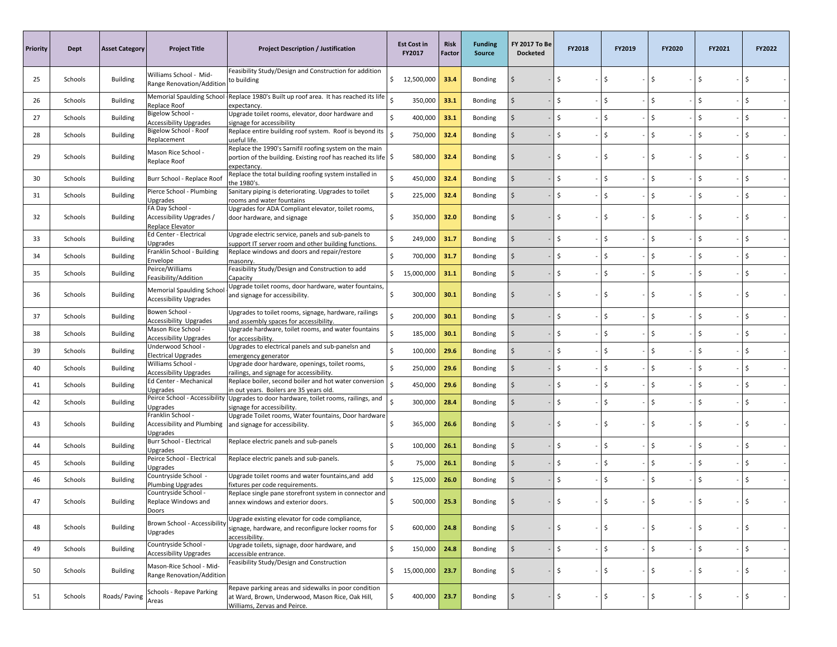| <b>Priority</b> | Dept    | <b>Asset Category</b> | <b>Project Title</b>                                              | <b>Project Description / Justification</b>                                                                                                         | <b>Est Cost in</b><br>FY2017  | Risk<br>Factor | <b>Funding</b><br><b>Source</b> | <b>FY 2017 To Be</b><br><b>Docketed</b> | FY2018 | FY2019 | FY2020 | FY2021 | FY2022 |
|-----------------|---------|-----------------------|-------------------------------------------------------------------|----------------------------------------------------------------------------------------------------------------------------------------------------|-------------------------------|----------------|---------------------------------|-----------------------------------------|--------|--------|--------|--------|--------|
| 25              | Schools | <b>Building</b>       | Williams School - Mid-<br>Range Renovation/Addition               | Feasibility Study/Design and Construction for addition<br>to building                                                                              | \$12,500,000                  | 33.4           | Bonding                         | -S                                      | \$.    | \$     | Ŝ      | \$     | Ŝ      |
| 26              | Schools | <b>Building</b>       | Replace Roof                                                      | Memorial Spaulding School Replace 1980's Built up roof area. It has reached its life<br>expectancy.                                                | $\mathsf{\hat{S}}$<br>350,000 | 33.1           | Bonding                         | Ś                                       | Ś      | \$     | Ś      | \$     | Ŝ.     |
| 27              | Schools | <b>Building</b>       | Bigelow School -<br><b>Accessibility Upgrades</b>                 | Upgrade toilet rooms, elevator, door hardware and<br>signage for accessibility                                                                     | 400,000<br>Ŝ                  | 33.1           | Bonding                         | S,                                      | \$     | \$     | Ś      | \$     | \$.    |
| 28              | Schools | <b>Building</b>       | Bigelow School - Roof<br>Replacement                              | Replace entire building roof system. Roof is beyond its<br>useful life.                                                                            | Ś<br>750,000                  | 32.4           | Bonding                         | \$                                      | \$     | \$     | Ś      | \$     | Ŝ      |
| 29              | Schools | <b>Building</b>       | Mason Rice School -<br>Replace Roof                               | Replace the 1990's Sarnifil roofing system on the main<br>portion of the building. Existing roof has reached its life $\frac{1}{5}$<br>expectancy. | 580,000                       | 32.4           | Bonding                         | S.                                      | \$     | \$     | Ś      | \$     | \$     |
| 30              | Schools | <b>Building</b>       | Burr School - Replace Root                                        | Replace the total building roofing system installed in<br>t <b>he 1980'</b> :                                                                      | \$<br>450,000                 | 32.4           | Bonding                         |                                         | Ś      | \$     | Ś      | \$     | Ŝ.     |
| 31              | Schools | Building              | Pierce School - Plumbing<br>Upgrades                              | Sanitary piping is deteriorating. Upgrades to toilet<br>rooms and water fountains                                                                  | \$<br>225,000                 | 32.4           | Bonding                         | Ś                                       | Ś      | \$     | Ś      | \$     | Ŝ.     |
| 32              | Schools | <b>Building</b>       | FA Day School -<br>Accessibility Upgrades /<br>Replace Elevator   | Upgrades for ADA Compliant elevator, toilet rooms,<br>door hardware, and signage                                                                   | \$<br>350,000                 | 32.0           | Bonding                         | S                                       | Ŝ      | Ŝ      | Ś      | \$     | Ŝ      |
| 33              | Schools | <b>Building</b>       | Ed Center - Electrical<br>Upgrades                                | Upgrade electric service, panels and sub-panels to<br>support IT server room and other building functions.                                         | \$<br>249,000                 | 31.7           | Bonding                         | \$                                      | Ś      | \$     | Ś      | \$     | Ŝ.     |
| 34              | Schools | <b>Building</b>       | Franklin School - Building<br>Envelope                            | Replace windows and doors and repair/restore<br>masonry                                                                                            | \$<br>700,000                 | 31.7           | Bonding                         | Ś                                       | Ś      | \$     | Ś      | \$     | \$     |
| 35              | Schools | <b>Building</b>       | Peirce/Williams<br>Feasibility/Addition                           | Feasibility Study/Design and Construction to add<br>Capacity                                                                                       | \$15,000,000                  | 31.1           | Bonding                         |                                         | \$     | \$     | Ś      | \$     | \$     |
| 36              | Schools | <b>Building</b>       | <b>Memorial Spaulding School</b><br><b>Accessibility Upgrades</b> | Upgrade toilet rooms, door hardware, water fountains,<br>and signage for accessibility.                                                            | \$<br>300,000                 | 30.1           | Bonding                         | -S                                      | Ŝ      | \$     | Ŝ      | \$     | Ŝ      |
| 37              | Schools | <b>Building</b>       | Bowen School -<br><b>Accessibility Upgrades</b>                   | Upgrades to toilet rooms, signage, hardware, railings<br>and assembly spaces for accessibility.                                                    | \$<br>200,000                 | 30.1           | Bonding                         | Ś                                       | Ś      | \$     | Ś      | \$     | Ŝ.     |
| 38              | Schools | <b>Building</b>       | Mason Rice School -<br><b>Accessibility Upgrades</b>              | Upgrade hardware, toilet rooms, and water fountains<br>for accessibility.                                                                          | Ś<br>185,000                  | 30.1           | Bonding                         | S,                                      | \$     | \$     | Ś      | \$     | \$.    |
| 39              | Schools | <b>Building</b>       | Underwood School -<br><b>Electrical Upgrades</b>                  | Upgrades to electrical panels and sub-panelsn and<br>emergency generator                                                                           | \$<br>100,000                 | 29.6           | Bonding                         | \$                                      | Ś      | \$     | Ś      | \$     | Ŝ      |
| 40              | Schools | <b>Building</b>       | Williams School -<br><b>Accessibility Upgrades</b>                | Upgrade door hardware, openings, toilet rooms,<br>railings, and signage for accessibility.                                                         | \$<br>250,000                 | 29.6           | Bonding                         |                                         | \$     | Ś      | Ś      | \$     | Ŝ.     |
| 41              | Schools | <b>Building</b>       | Ed Center - Mechanical<br>Upgrades                                | Replace boiler, second boiler and hot water conversion<br>in out years. Boilers are 35 years old.                                                  | Ś<br>450,000                  | 29.6           | Bonding                         | Ŝ.                                      | \$     | \$     | Ś      | \$     | Ŝ.     |
| 42              | Schools | <b>Building</b>       | Upgrades                                                          | Peirce School - Accessibility Upgrades to door hardware, toilet rooms, railings, and<br>signage for accessibility.                                 | 300,000                       | 28.4           | Bonding                         | Ŝ.                                      | Ś      | \$     | Ś      | \$     | \$     |
| 43              | Schools | <b>Building</b>       | Franklin School -<br>Upgrades                                     | Upgrade Toilet rooms, Water fountains, Door hardware<br>Accessibility and Plumbing and signage for accessibility.                                  | 365,000<br>\$                 | 26.6           | Bonding                         | S,                                      | \$     | \$     | \$     | \$     | Ŝ      |
| 44              | Schools | <b>Building</b>       | Burr School - Electrical<br>Upgrades                              | Replace electric panels and sub-panels                                                                                                             | Ś<br>100,000                  | 26.1           | Bonding                         | Ś                                       | \$     | \$     | \$     | \$     | \$     |
| 45              | Schools | <b>Building</b>       | Peirce School - Electrical<br>Jpgrades                            | Replace electric panels and sub-panels.                                                                                                            | \$<br>75,000                  | 26.1           | Bonding                         | <sup>\$</sup>                           | Ś.     | \$     | Ś      | \$     | Ŝ.     |
| 46              | Schools | <b>Building</b>       | Countryside School -<br>Plumbing Upgrades                         | Upgrade toilet rooms and water fountains, and add<br>fixtures per code requirements.                                                               | \$<br>125,000                 | 26.0           | Bonding                         | <sub>S</sub>                            | Ŝ      | \$     | \$     | \$     | \$     |
| 47              | Schools | Building              | Countryside School -<br>Replace Windows and<br>Doors              | Replace single pane storefront system in connector and<br>annex windows and exterior doors.                                                        | 500,000<br>Ŝ.                 | 25.3           | Bonding                         | - Ś                                     | Ŝ.     | Ŝ.     | Ŝ      | \$     | Ŝ      |
| 48              | Schools | <b>Building</b>       | Brown School - Accessibility<br>Upgrades                          | Upgrade existing elevator for code compliance,<br>signage, hardware, and reconfigure locker rooms for<br>accessibility.                            | \$<br>600,000                 | 24.8           | Bonding                         | Ś                                       | \$     | \$     | \$     | \$     | \$     |
| 49              | Schools | <b>Building</b>       | Countryside School -<br><b>Accessibility Upgrades</b>             | Upgrade toilets, signage, door hardware, and<br>accessible entrance.                                                                               | \$<br>150,000                 | 24.8           | Bonding                         | $\ddot{\varsigma}$                      | \$     | \$     | \$     | \$     | \$     |
| 50              | Schools | <b>Building</b>       | Mason-Rice School - Mid-<br>Range Renovation/Addition             | Feasibility Study/Design and Construction                                                                                                          | \$<br>15,000,000              | 23.7           | Bonding                         | S.                                      | \$     | \$     | \$     | \$     | \$     |
| 51              | Schools | Roads/Paving          | Schools - Repave Parking<br>Areas                                 | Repave parking areas and sidewalks in poor condition<br>at Ward, Brown, Underwood, Mason Rice, Oak Hill,<br>Williams, Zervas and Peirce.           | 400,000<br>\$                 | 23.7           | Bonding                         | \$                                      | \$     | \$     | Ś      | \$     | \$     |